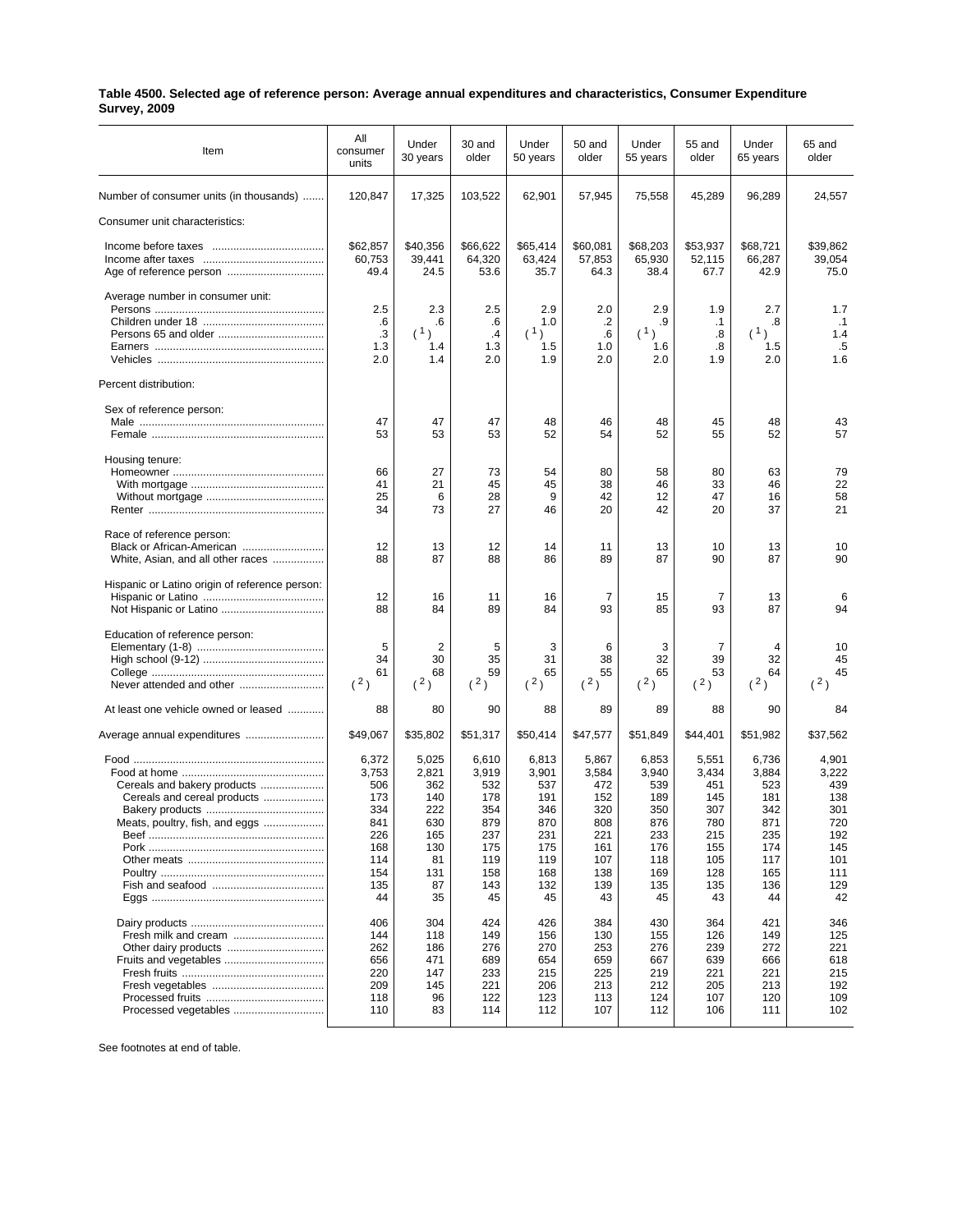## **Table 4500. Selected age of reference person: Average annual expenditures and characteristics, Consumer Expenditure Survey, 2009**

| Item                                                           | All<br>consumer<br>units                                                            | Under<br>30 years                                                                 | 30 and<br>older                                                                     | Under<br>50 years                                                                   | 50 and<br>older                                                                     | Under<br>55 years                                                                   | 55 and<br>older                                                                     | Under<br>65 years                                                                   | 65 and<br>older                                                                     |
|----------------------------------------------------------------|-------------------------------------------------------------------------------------|-----------------------------------------------------------------------------------|-------------------------------------------------------------------------------------|-------------------------------------------------------------------------------------|-------------------------------------------------------------------------------------|-------------------------------------------------------------------------------------|-------------------------------------------------------------------------------------|-------------------------------------------------------------------------------------|-------------------------------------------------------------------------------------|
| Number of consumer units (in thousands)                        | 120,847                                                                             | 17,325                                                                            | 103,522                                                                             | 62,901                                                                              | 57,945                                                                              | 75,558                                                                              | 45,289                                                                              | 96,289                                                                              | 24,557                                                                              |
| Consumer unit characteristics:                                 |                                                                                     |                                                                                   |                                                                                     |                                                                                     |                                                                                     |                                                                                     |                                                                                     |                                                                                     |                                                                                     |
|                                                                | \$62,857<br>60,753<br>49.4                                                          | \$40,356<br>39,441<br>24.5                                                        | \$66,622<br>64,320<br>53.6                                                          | \$65,414<br>63,424<br>35.7                                                          | \$60,081<br>57,853<br>64.3                                                          | \$68,203<br>65,930<br>38.4                                                          | \$53,937<br>52,115<br>67.7                                                          | \$68,721<br>66,287<br>42.9                                                          | \$39,862<br>39,054<br>75.0                                                          |
| Average number in consumer unit:<br>Percent distribution:      | 2.5<br>.6<br>.3<br>1.3<br>2.0                                                       | 2.3<br>.6<br>(1)<br>1.4<br>1.4                                                    | 2.5<br>.6<br>$\cdot$ 4<br>1.3<br>2.0                                                | 2.9<br>1.0<br>(1)<br>1.5<br>1.9                                                     | 2.0<br>.2<br>.6<br>1.0<br>2.0                                                       | 2.9<br>.9<br>(1)<br>1.6<br>2.0                                                      | 1.9<br>$\cdot$ 1<br>.8<br>.8<br>1.9                                                 | 2.7<br>.8<br>(1)<br>1.5<br>2.0                                                      | 1.7<br>$\cdot$ 1<br>1.4<br>.5<br>1.6                                                |
| Sex of reference person:                                       |                                                                                     |                                                                                   |                                                                                     |                                                                                     |                                                                                     |                                                                                     |                                                                                     |                                                                                     |                                                                                     |
|                                                                | 47<br>53                                                                            | 47<br>53                                                                          | 47<br>53                                                                            | 48<br>52                                                                            | 46<br>54                                                                            | 48<br>52                                                                            | 45<br>55                                                                            | 48<br>52                                                                            | 43<br>57                                                                            |
| Housing tenure:                                                | 66<br>41<br>25<br>34                                                                | 27<br>21<br>6<br>73                                                               | 73<br>45<br>28<br>27                                                                | 54<br>45<br>9<br>46                                                                 | 80<br>38<br>42<br>20                                                                | 58<br>46<br>12<br>42                                                                | 80<br>33<br>47<br>20                                                                | 63<br>46<br>16<br>37                                                                | 79<br>22<br>58<br>21                                                                |
| Race of reference person:<br>White, Asian, and all other races | 12<br>88                                                                            | 13<br>87                                                                          | 12<br>88                                                                            | 14<br>86                                                                            | 11<br>89                                                                            | 13<br>87                                                                            | 10<br>90                                                                            | 13<br>87                                                                            | 10<br>90                                                                            |
| Hispanic or Latino origin of reference person:                 | 12<br>88                                                                            | 16<br>84                                                                          | 11<br>89                                                                            | 16<br>84                                                                            | $\overline{7}$<br>93                                                                | 15<br>85                                                                            | $\overline{7}$<br>93                                                                | 13<br>87                                                                            | 6<br>94                                                                             |
| Education of reference person:                                 | 5<br>34<br>61<br>(2)                                                                | 2<br>30<br>68<br>(2)                                                              | 5<br>35<br>59<br>(2)                                                                | 3<br>31<br>65<br>(2)                                                                | 6<br>38<br>55<br>(2)                                                                | 3<br>32<br>65<br>(2)                                                                | 7<br>39<br>53<br>(2)                                                                | 4<br>32<br>64<br>(2)                                                                | 10<br>45<br>45<br>(2)                                                               |
| At least one vehicle owned or leased                           | 88                                                                                  | 80                                                                                | 90                                                                                  | 88                                                                                  | 89                                                                                  | 89                                                                                  | 88                                                                                  | 90                                                                                  | 84                                                                                  |
| Average annual expenditures                                    | \$49.067                                                                            | \$35,802                                                                          | \$51,317                                                                            | \$50,414                                                                            | \$47,577                                                                            | \$51,849                                                                            | \$44,401                                                                            | \$51,982                                                                            | \$37,562                                                                            |
| Cereals and cereal products<br>Meats, poultry, fish, and eggs  | 6,372<br>3,753<br>506<br>173<br>334<br>841<br>226<br>168<br>114<br>154<br>135<br>44 | 5,025<br>2,821<br>362<br>140<br>222<br>630<br>165<br>130<br>81<br>131<br>87<br>35 | 6,610<br>3,919<br>532<br>178<br>354<br>879<br>237<br>175<br>119<br>158<br>143<br>45 | 6,813<br>3,901<br>537<br>191<br>346<br>870<br>231<br>175<br>119<br>168<br>132<br>45 | 5,867<br>3,584<br>472<br>152<br>320<br>808<br>221<br>161<br>107<br>138<br>139<br>43 | 6,853<br>3,940<br>539<br>189<br>350<br>876<br>233<br>176<br>118<br>169<br>135<br>45 | 5,551<br>3,434<br>451<br>145<br>307<br>780<br>215<br>155<br>105<br>128<br>135<br>43 | 6,736<br>3,884<br>523<br>181<br>342<br>871<br>235<br>174<br>117<br>165<br>136<br>44 | 4,901<br>3,222<br>439<br>138<br>301<br>720<br>192<br>145<br>101<br>111<br>129<br>42 |
| Fruits and vegetables<br>Processed vegetables                  | 406<br>144<br>262<br>656<br>220<br>209<br>118<br>110                                | 304<br>118<br>186<br>471<br>147<br>145<br>96<br>83                                | 424<br>149<br>276<br>689<br>233<br>221<br>122<br>114                                | 426<br>156<br>270<br>654<br>215<br>206<br>123<br>112                                | 384<br>130<br>253<br>659<br>225<br>213<br>113<br>107                                | 430<br>155<br>276<br>667<br>219<br>212<br>124<br>112                                | 364<br>126<br>239<br>639<br>221<br>205<br>107<br>106                                | 421<br>149<br>272<br>666<br>221<br>213<br>120<br>111                                | 346<br>125<br>221<br>618<br>215<br>192<br>109<br>102                                |

See footnotes at end of table.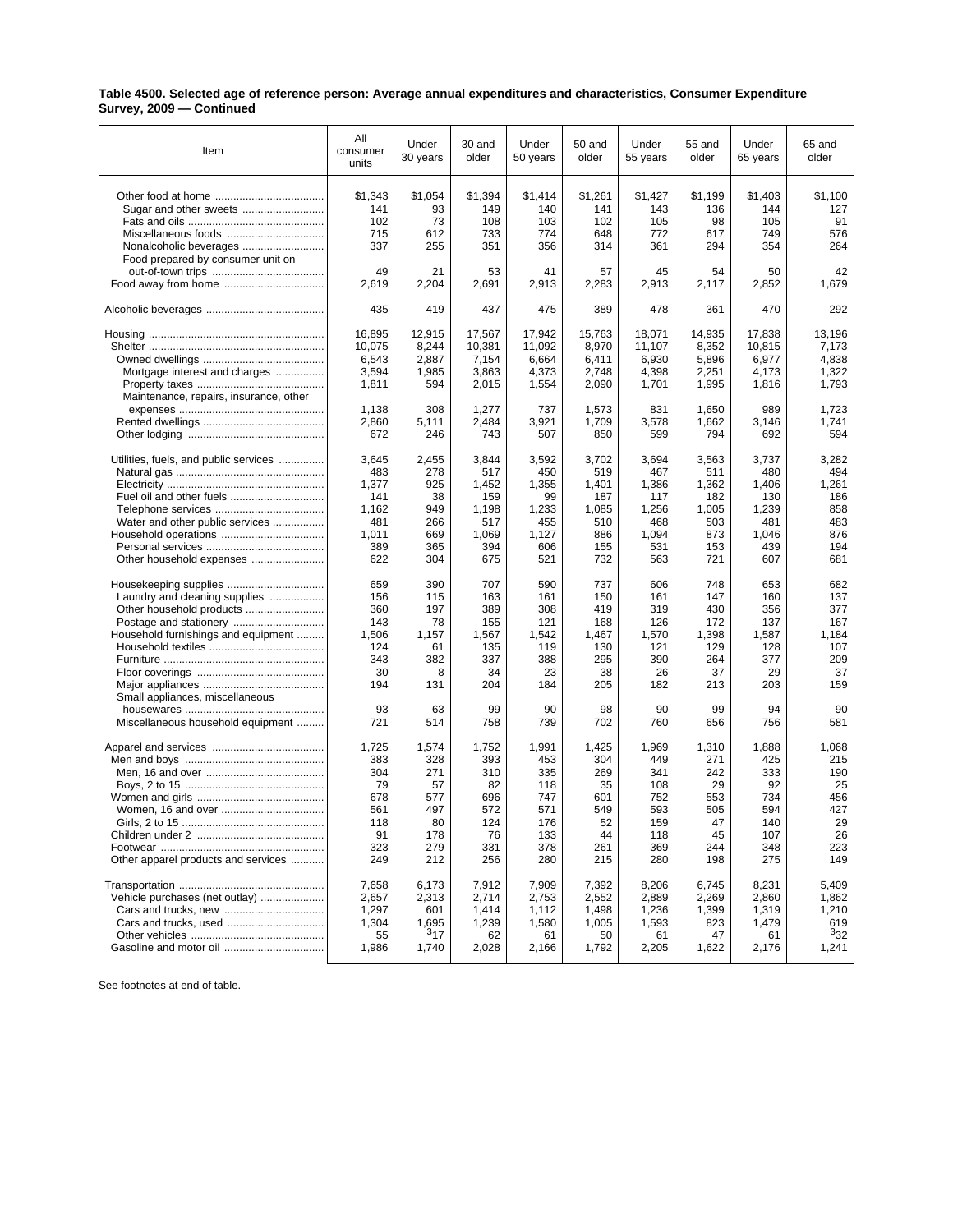## **Table 4500. Selected age of reference person: Average annual expenditures and characteristics, Consumer Expenditure Survey, 2009 — Continued**

| Item                                                                                                                             | All<br>consumer<br>units                                     | Under<br>30 years                                         | 30 and<br>older                                              | Under<br>50 years                                            | 50 and<br>older                                              | Under<br>55 years                                            | 55 and<br>older                                              | Under<br>65 years                                            | 65 and<br>older                                              |
|----------------------------------------------------------------------------------------------------------------------------------|--------------------------------------------------------------|-----------------------------------------------------------|--------------------------------------------------------------|--------------------------------------------------------------|--------------------------------------------------------------|--------------------------------------------------------------|--------------------------------------------------------------|--------------------------------------------------------------|--------------------------------------------------------------|
|                                                                                                                                  | \$1,343                                                      | \$1,054                                                   | \$1,394                                                      | \$1,414                                                      | \$1,261                                                      | \$1,427                                                      | \$1,199                                                      | \$1,403                                                      | \$1,100                                                      |
|                                                                                                                                  | 141                                                          | 93                                                        | 149                                                          | 140                                                          | 141                                                          | 143                                                          | 136                                                          | 144                                                          | 127                                                          |
|                                                                                                                                  | 102                                                          | 73                                                        | 108                                                          | 103                                                          | 102                                                          | 105                                                          | 98                                                           | 105                                                          | 91                                                           |
| Miscellaneous foods                                                                                                              | 715                                                          | 612                                                       | 733                                                          | 774                                                          | 648                                                          | 772                                                          | 617                                                          | 749                                                          | 576                                                          |
|                                                                                                                                  | 337                                                          | 255                                                       | 351                                                          | 356                                                          | 314                                                          | 361                                                          | 294                                                          | 354                                                          | 264                                                          |
| Food prepared by consumer unit on<br>Food away from home                                                                         | 49<br>2,619                                                  | 21<br>2,204                                               | 53<br>2,691                                                  | 41<br>2,913                                                  | 57<br>2,283                                                  | 45<br>2,913                                                  | 54<br>2,117                                                  | 50<br>2,852                                                  | 42<br>1,679                                                  |
|                                                                                                                                  | 435                                                          | 419                                                       | 437                                                          | 475                                                          | 389                                                          | 478                                                          | 361                                                          | 470                                                          | 292                                                          |
|                                                                                                                                  | 16,895                                                       | 12,915                                                    | 17,567                                                       | 17,942                                                       | 15,763                                                       | 18,071                                                       | 14,935                                                       | 17,838                                                       | 13,196                                                       |
|                                                                                                                                  | 10,075                                                       | 8,244                                                     | 10,381                                                       | 11,092                                                       | 8,970                                                        | 11,107                                                       | 8,352                                                        | 10,815                                                       | 7,173                                                        |
|                                                                                                                                  | 6,543                                                        | 2,887                                                     | 7,154                                                        | 6,664                                                        | 6,411                                                        | 6,930                                                        | 5,896                                                        | 6,977                                                        | 4,838                                                        |
| Mortgage interest and charges                                                                                                    | 3,594                                                        | 1,985                                                     | 3,863                                                        | 4,373                                                        | 2,748                                                        | 4,398                                                        | 2,251                                                        | 4,173                                                        | 1,322                                                        |
|                                                                                                                                  | 1,811                                                        | 594                                                       | 2,015                                                        | 1,554                                                        | 2,090                                                        | 1,701                                                        | 1,995                                                        | 1,816                                                        | 1,793                                                        |
| Maintenance, repairs, insurance, other                                                                                           | 1,138<br>2,860<br>672                                        | 308<br>5,111<br>246                                       | 1,277<br>2,484<br>743                                        | 737<br>3,921<br>507                                          | 1,573<br>1,709<br>850                                        | 831<br>3,578<br>599                                          | 1,650<br>1,662<br>794                                        | 989<br>3,146<br>692                                          | 1,723<br>1,741<br>594                                        |
| Utilities, fuels, and public services                                                                                            | 3,645                                                        | 2,455                                                     | 3,844                                                        | 3,592                                                        | 3,702                                                        | 3,694                                                        | 3,563                                                        | 3,737                                                        | 3,282                                                        |
|                                                                                                                                  | 483                                                          | 278                                                       | 517                                                          | 450                                                          | 519                                                          | 467                                                          | 511                                                          | 480                                                          | 494                                                          |
|                                                                                                                                  | 1,377                                                        | 925                                                       | 1,452                                                        | 1,355                                                        | 1,401                                                        | 1,386                                                        | 1,362                                                        | 1,406                                                        | 1,261                                                        |
|                                                                                                                                  | 141                                                          | 38                                                        | 159                                                          | 99                                                           | 187                                                          | 117                                                          | 182                                                          | 130                                                          | 186                                                          |
|                                                                                                                                  | 1,162                                                        | 949                                                       | 1,198                                                        | 1,233                                                        | 1,085                                                        | 1,256                                                        | 1,005                                                        | 1,239                                                        | 858                                                          |
| Water and other public services                                                                                                  | 481                                                          | 266                                                       | 517                                                          | 455                                                          | 510                                                          | 468                                                          | 503                                                          | 481                                                          | 483                                                          |
|                                                                                                                                  | 1,011                                                        | 669                                                       | 1,069                                                        | 1,127                                                        | 886                                                          | 1,094                                                        | 873                                                          | 1,046                                                        | 876                                                          |
|                                                                                                                                  | 389                                                          | 365                                                       | 394                                                          | 606                                                          | 155                                                          | 531                                                          | 153                                                          | 439                                                          | 194                                                          |
|                                                                                                                                  | 622                                                          | 304                                                       | 675                                                          | 521                                                          | 732                                                          | 563                                                          | 721                                                          | 607                                                          | 681                                                          |
| Housekeeping supplies<br>Laundry and cleaning supplies<br>Household furnishings and equipment<br>Small appliances, miscellaneous | 659<br>156<br>360<br>143<br>1,506<br>124<br>343<br>30<br>194 | 390<br>115<br>197<br>78<br>1,157<br>61<br>382<br>8<br>131 | 707<br>163<br>389<br>155<br>1,567<br>135<br>337<br>34<br>204 | 590<br>161<br>308<br>121<br>1,542<br>119<br>388<br>23<br>184 | 737<br>150<br>419<br>168<br>1,467<br>130<br>295<br>38<br>205 | 606<br>161<br>319<br>126<br>1,570<br>121<br>390<br>26<br>182 | 748<br>147<br>430<br>172<br>1,398<br>129<br>264<br>37<br>213 | 653<br>160<br>356<br>137<br>1,587<br>128<br>377<br>29<br>203 | 682<br>137<br>377<br>167<br>1,184<br>107<br>209<br>37<br>159 |
|                                                                                                                                  | 93                                                           | 63                                                        | 99                                                           | 90                                                           | 98                                                           | 90                                                           | 99                                                           | 94                                                           | 90                                                           |
| Miscellaneous household equipment                                                                                                | 721                                                          | 514                                                       | 758                                                          | 739                                                          | 702                                                          | 760                                                          | 656                                                          | 756                                                          | 581                                                          |
|                                                                                                                                  | 1,725                                                        | 1,574                                                     | 1,752                                                        | 1,991                                                        | 1,425                                                        | 1,969                                                        | 1,310                                                        | 1,888                                                        | 1,068                                                        |
|                                                                                                                                  | 383                                                          | 328                                                       | 393                                                          | 453                                                          | 304                                                          | 449                                                          | 271                                                          | 425                                                          | 215                                                          |
|                                                                                                                                  | 304                                                          | 271                                                       | 310                                                          | 335                                                          | 269                                                          | 341                                                          | 242                                                          | 333                                                          | 190                                                          |
|                                                                                                                                  | 79                                                           | 57                                                        | 82                                                           | 118                                                          | 35                                                           | 108                                                          | 29                                                           | 92                                                           | 25                                                           |
|                                                                                                                                  | 678                                                          | 577                                                       | 696                                                          | 747                                                          | 601                                                          | 752                                                          | 553                                                          | 734                                                          | 456                                                          |
|                                                                                                                                  | 561                                                          | 497                                                       | 572                                                          | 571                                                          | 549                                                          | 593                                                          | 505                                                          | 594                                                          | 427                                                          |
|                                                                                                                                  | 118                                                          | 80                                                        | 124                                                          | 176                                                          | 52                                                           | 159                                                          | 47                                                           | 140                                                          | 29                                                           |
|                                                                                                                                  | 91                                                           | 178                                                       | 76                                                           | 133                                                          | 44                                                           | 118                                                          | 45                                                           | 107                                                          | 26                                                           |
|                                                                                                                                  | 323                                                          | 279                                                       | 331                                                          | 378                                                          | 261                                                          | 369                                                          | 244                                                          | 348                                                          | 223                                                          |
| Other apparel products and services                                                                                              | 249                                                          | 212                                                       | 256                                                          | 280                                                          | 215                                                          | 280                                                          | 198                                                          | 275                                                          | 149                                                          |
|                                                                                                                                  | 7,658                                                        | 6,173                                                     | 7,912                                                        | 7,909                                                        | 7.392                                                        | 8,206                                                        | 6,745                                                        | 8,231                                                        | 5,409                                                        |
| Vehicle purchases (net outlay)                                                                                                   | 2,657                                                        | 2,313                                                     | 2,714                                                        | 2,753                                                        | 2,552                                                        | 2,889                                                        | 2,269                                                        | 2,860                                                        | 1,862                                                        |
|                                                                                                                                  | 1,297                                                        | 601                                                       | 1,414                                                        | 1,112                                                        | 1,498                                                        | 1,236                                                        | 1,399                                                        | 1,319                                                        | 1,210                                                        |
|                                                                                                                                  | 1,304                                                        | 1,695                                                     | 1,239                                                        | 1,580                                                        | 1,005                                                        | 1,593                                                        | 823                                                          | 1,479                                                        | 619                                                          |
|                                                                                                                                  | 55                                                           | $3_{17}$                                                  | 62                                                           | 61                                                           | 50                                                           | 61                                                           | 47                                                           | 61                                                           | 332                                                          |
|                                                                                                                                  | 1,986                                                        | 1,740                                                     | 2,028                                                        | 2,166                                                        | 1,792                                                        | 2,205                                                        | 1,622                                                        | 2,176                                                        | 1,241                                                        |

See footnotes at end of table.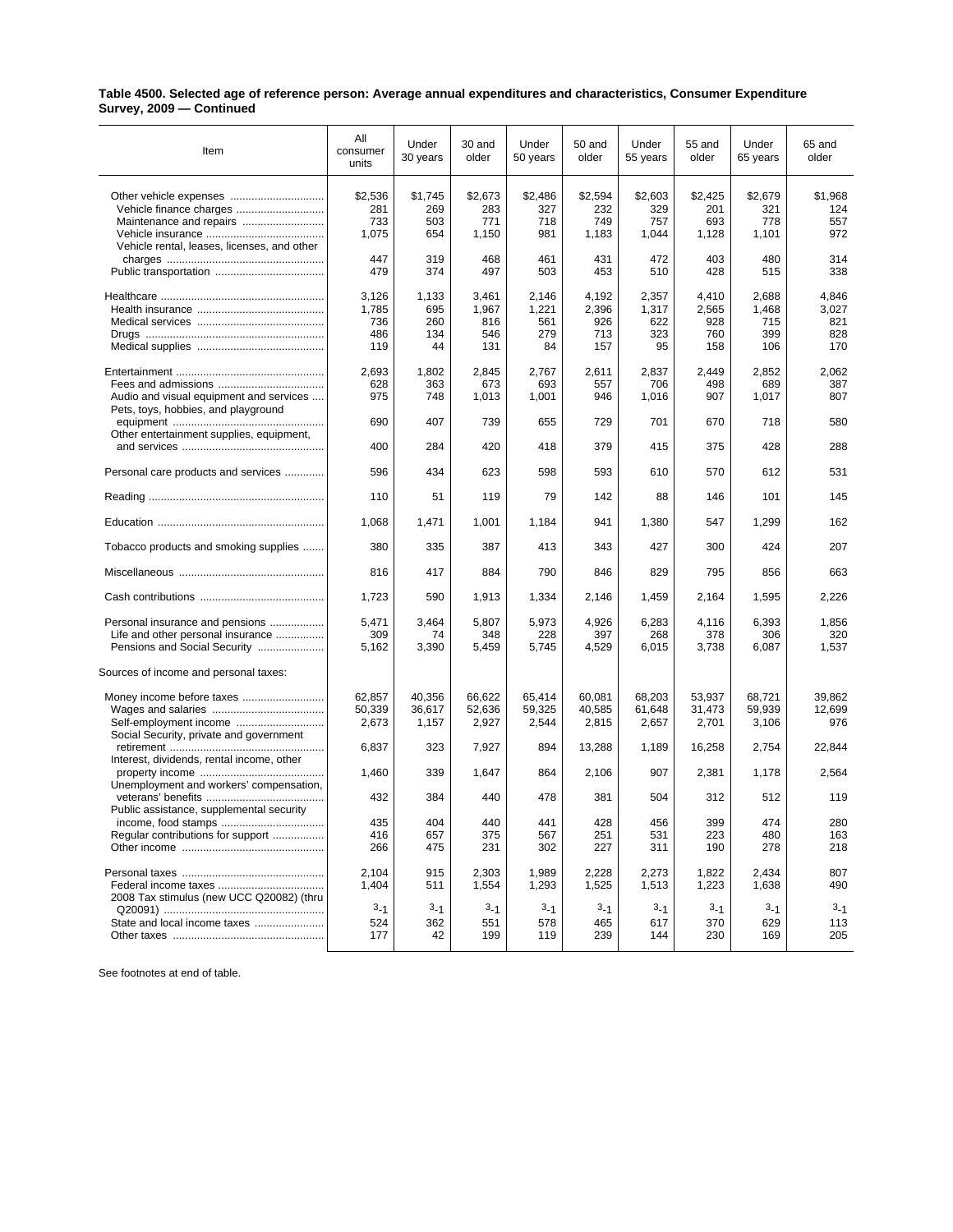## **Table 4500. Selected age of reference person: Average annual expenditures and characteristics, Consumer Expenditure Survey, 2009 — Continued**

| Item                                                                                                                                          | All<br>consumer<br>units            | Under<br>30 years                | 30 and<br>older                     | Under<br>50 years                  | 50 and<br>older                     | Under<br>55 years                  | 55 and<br>older                     | Under<br>65 years                   | 65 and<br>older                     |
|-----------------------------------------------------------------------------------------------------------------------------------------------|-------------------------------------|----------------------------------|-------------------------------------|------------------------------------|-------------------------------------|------------------------------------|-------------------------------------|-------------------------------------|-------------------------------------|
| Other vehicle expenses<br>Maintenance and repairs<br>Vehicle rental, leases, licenses, and other                                              | \$2,536<br>281<br>733<br>1,075      | \$1,745<br>269<br>503<br>654     | \$2,673<br>283<br>771<br>1,150      | \$2,486<br>327<br>718<br>981       | \$2,594<br>232<br>749<br>1,183      | \$2,603<br>329<br>757<br>1,044     | \$2,425<br>201<br>693<br>1,128      | \$2,679<br>321<br>778<br>1,101      | \$1,968<br>124<br>557<br>972        |
|                                                                                                                                               | 447<br>479                          | 319<br>374                       | 468<br>497                          | 461<br>503                         | 431<br>453                          | 472<br>510                         | 403<br>428                          | 480<br>515                          | 314<br>338                          |
|                                                                                                                                               | 3,126<br>1,785<br>736<br>486<br>119 | 1,133<br>695<br>260<br>134<br>44 | 3,461<br>1,967<br>816<br>546<br>131 | 2,146<br>1,221<br>561<br>279<br>84 | 4,192<br>2,396<br>926<br>713<br>157 | 2,357<br>1,317<br>622<br>323<br>95 | 4,410<br>2,565<br>928<br>760<br>158 | 2,688<br>1,468<br>715<br>399<br>106 | 4,846<br>3,027<br>821<br>828<br>170 |
| Audio and visual equipment and services<br>Pets, toys, hobbies, and playground                                                                | 2,693<br>628<br>975                 | 1,802<br>363<br>748              | 2,845<br>673<br>1,013               | 2,767<br>693<br>1,001              | 2,611<br>557<br>946                 | 2,837<br>706<br>1,016              | 2,449<br>498<br>907                 | 2,852<br>689<br>1,017               | 2,062<br>387<br>807                 |
| Other entertainment supplies, equipment,                                                                                                      | 690                                 | 407                              | 739                                 | 655                                | 729                                 | 701                                | 670                                 | 718                                 | 580                                 |
|                                                                                                                                               | 400                                 | 284                              | 420                                 | 418                                | 379                                 | 415                                | 375                                 | 428                                 | 288                                 |
| Personal care products and services                                                                                                           | 596                                 | 434                              | 623                                 | 598                                | 593                                 | 610                                | 570                                 | 612                                 | 531                                 |
|                                                                                                                                               | 110                                 | 51                               | 119                                 | 79                                 | 142                                 | 88                                 | 146                                 | 101                                 | 145                                 |
|                                                                                                                                               | 1,068                               | 1,471                            | 1,001                               | 1,184                              | 941                                 | 1,380                              | 547                                 | 1,299                               | 162                                 |
| Tobacco products and smoking supplies                                                                                                         | 380                                 | 335                              | 387                                 | 413                                | 343                                 | 427                                | 300                                 | 424                                 | 207                                 |
|                                                                                                                                               | 816                                 | 417                              | 884                                 | 790                                | 846                                 | 829                                | 795                                 | 856                                 | 663                                 |
|                                                                                                                                               | 1,723                               | 590                              | 1,913                               | 1,334                              | 2,146                               | 1,459                              | 2,164                               | 1,595                               | 2,226                               |
| Personal insurance and pensions<br>Life and other personal insurance<br>Pensions and Social Security<br>Sources of income and personal taxes: | 5,471<br>309<br>5,162               | 3,464<br>74<br>3,390             | 5,807<br>348<br>5,459               | 5,973<br>228<br>5,745              | 4,926<br>397<br>4,529               | 6,283<br>268<br>6,015              | 4,116<br>378<br>3,738               | 6,393<br>306<br>6,087               | 1,856<br>320<br>1,537               |
|                                                                                                                                               |                                     |                                  |                                     |                                    |                                     |                                    |                                     |                                     |                                     |
|                                                                                                                                               | 62,857<br>50,339<br>2,673           | 40,356<br>36,617<br>1,157        | 66,622<br>52,636<br>2,927           | 65,414<br>59,325<br>2,544          | 60,081<br>40,585<br>2,815           | 68,203<br>61,648<br>2,657          | 53,937<br>31,473<br>2,701           | 68,721<br>59,939<br>3,106           | 39,862<br>12,699<br>976             |
| Social Security, private and government<br>Interest, dividends, rental income, other                                                          | 6,837                               | 323                              | 7,927                               | 894                                | 13,288                              | 1,189                              | 16,258                              | 2,754                               | 22,844                              |
| Unemployment and workers' compensation,                                                                                                       | 1,460                               | 339                              | 1,647                               | 864                                | 2,106                               | 907                                | 2,381                               | 1,178                               | 2,564                               |
| Public assistance, supplemental security                                                                                                      | 432                                 | 384                              | 440                                 | 478                                | 381                                 | 504                                | 312                                 | 512                                 | 119                                 |
| Regular contributions for support                                                                                                             | 435<br>416<br>266                   | 404<br>657<br>475                | 440<br>375<br>231                   | 441<br>567<br>302                  | 428<br>251<br>227                   | 456<br>531<br>311                  | 399<br>223<br>190                   | 474<br>480<br>278                   | 280<br>163<br>218                   |
| 2008 Tax stimulus (new UCC Q20082) (thru                                                                                                      | 2,104<br>1,404                      | 915<br>511                       | 2,303<br>1,554                      | 1,989<br>1,293                     | 2,228<br>1,525                      | 2,273<br>1,513                     | 1,822<br>1,223                      | 2,434<br>1,638                      | 807<br>490                          |
| State and local income taxes                                                                                                                  | $3 - 1$<br>524<br>177               | $3 - 1$<br>362<br>42             | $3 - 1$<br>551<br>199               | $3 - 1$<br>578<br>119              | $3 - 1$<br>465<br>239               | $3 - 1$<br>617<br>144              | $3 - 1$<br>370<br>230               | $3 - 1$<br>629<br>169               | $3 - 1$<br>113<br>205               |

See footnotes at end of table.